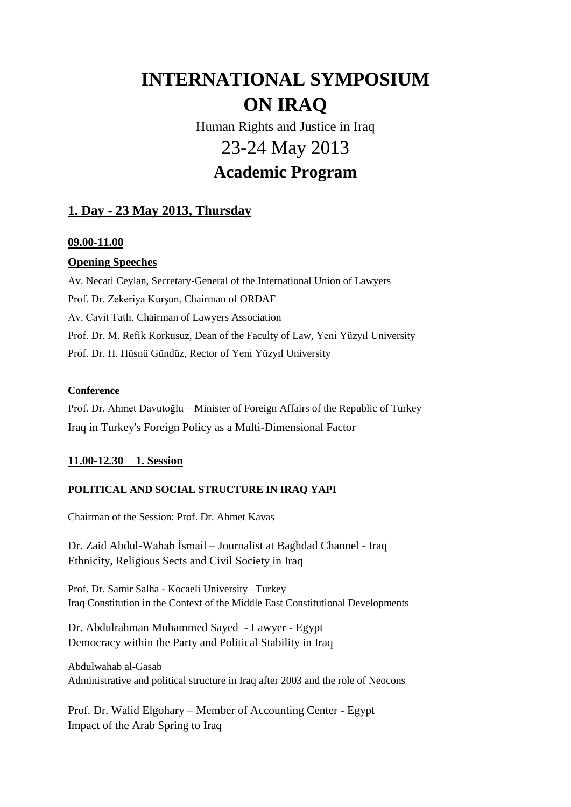# **INTERNATIONAL SYMPOSIUM ON IRAQ**

Human Rights and Justice in Iraq 23-24 May 2013

## **Academic Program**

## **1. Day - 23 May 2013, Thursday**

#### **09.00-11.00**

#### **Opening Speeches**

Av. Necati Ceylan, Secretary-General of the International Union of Lawyers Prof. Dr. Zekeriya Kurşun, Chairman of ORDAF Av. Cavit Tatlı, Chairman of Lawyers Association Prof. Dr. M. Refik Korkusuz, Dean of the Faculty of Law, Yeni Yüzyıl University Prof. Dr. H. Hüsnü Gündüz, Rector of Yeni Yüzyıl University

#### **Conference**

Prof. Dr. Ahmet Davutoğlu – Minister of Foreign Affairs of the Republic of Turkey Iraq in Turkey's Foreign Policy as a Multi-Dimensional Factor

#### **11.00-12.30 1. Session**

#### **POLITICAL AND SOCIAL STRUCTURE IN IRAQ YAPI**

Chairman of the Session: Prof. Dr. Ahmet Kavas

Dr. Zaid Abdul-Wahab İsmail – Journalist at Baghdad Channel - Iraq Ethnicity, Religious Sects and Civil Society in Iraq

Prof. Dr. Samir Salha - Kocaeli University –Turkey Iraq Constitution in the Context of the Middle East Constitutional Developments

Dr. Abdulrahman Muhammed Sayed - Lawyer - Egypt Democracy within the Party and Political Stability in Iraq

Abdulwahab al-Gasab Administrative and political structure in Iraq after 2003 and the role of Neocons

Prof. Dr. Walid Elgohary – Member of Accounting Center - Egypt Impact of the Arab Spring to Iraq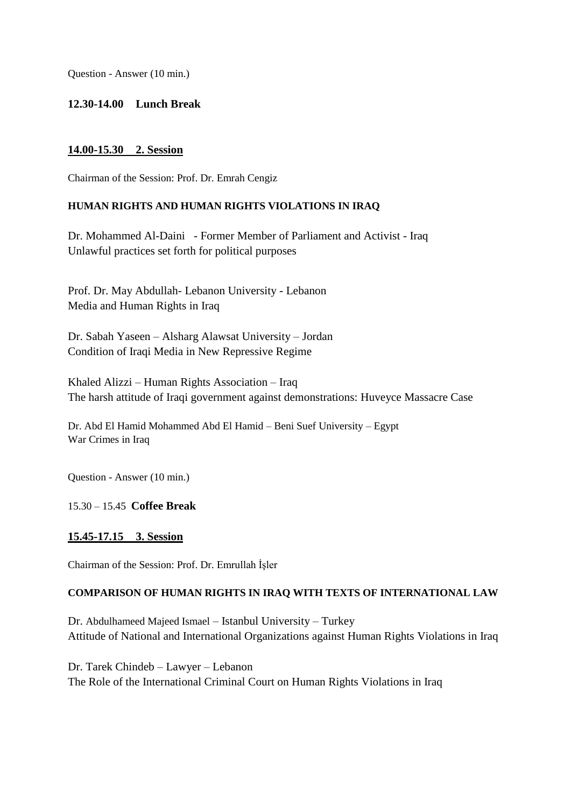Question - Answer (10 min.)

#### **12.30-14.00 Lunch Break**

#### **14.00-15.30 2. Session**

Chairman of the Session: Prof. Dr. Emrah Cengiz

#### **HUMAN RIGHTS AND HUMAN RIGHTS VIOLATIONS IN IRAQ**

Dr. Mohammed Al-Daini - Former Member of Parliament and Activist - Iraq Unlawful practices set forth for political purposes

Prof. Dr. May Abdullah- Lebanon University - Lebanon Media and Human Rights in Iraq

Dr. Sabah Yaseen – Alsharg Alawsat University – Jordan Condition of Iraqi Media in New Repressive Regime

Khaled Alizzi – Human Rights Association – Iraq The harsh attitude of Iraqi government against demonstrations: Huveyce Massacre Case

Dr. Abd El Hamid Mohammed Abd El Hamid – Beni Suef University – Egypt War Crimes in Iraq

Question - Answer (10 min.)

#### 15.30 – 15.45 **Coffee Break**

#### **15.45-17.15 3. Session**

Chairman of the Session: Prof. Dr. Emrullah İşler

#### **COMPARISON OF HUMAN RIGHTS IN IRAQ WITH TEXTS OF INTERNATIONAL LAW**

Dr. Abdulhameed Majeed Ismael – Istanbul University – Turkey Attitude of National and International Organizations against Human Rights Violations in Iraq

Dr. Tarek Chindeb – Lawyer – Lebanon The Role of the International Criminal Court on Human Rights Violations in Iraq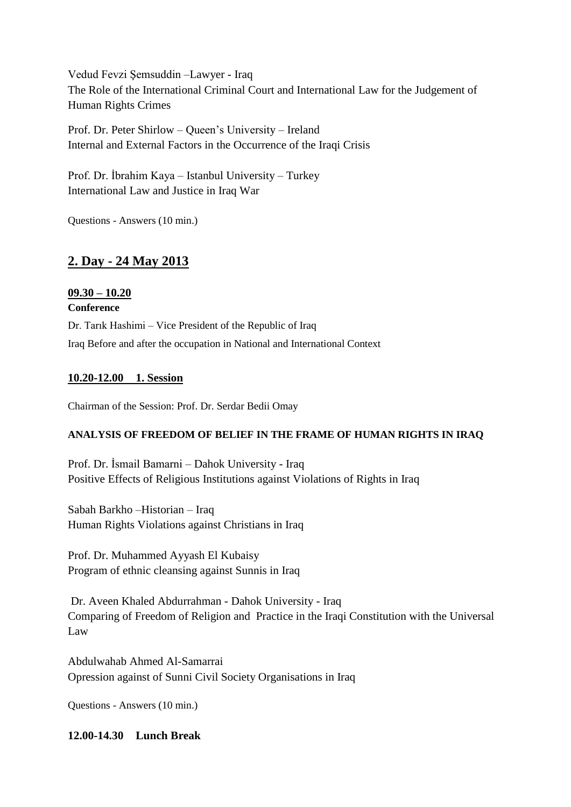Vedud Fevzi Şemsuddin –Lawyer - Iraq The Role of the International Criminal Court and International Law for the Judgement of Human Rights Crimes

Prof. Dr. Peter Shirlow – Queen's University – Ireland Internal and External Factors in the Occurrence of the Iraqi Crisis

Prof. Dr. İbrahim Kaya – Istanbul University – Turkey International Law and Justice in Iraq War

Questions - Answers (10 min.)

### **2. Day - 24 May 2013**

#### **09.30 – 10.20 Conference**

Dr. Tarık Hashimi – Vice President of the Republic of Iraq Iraq Before and after the occupation in National and International Context

#### **10.20-12.00 1. Session**

Chairman of the Session: Prof. Dr. Serdar Bedii Omay

#### **ANALYSIS OF FREEDOM OF BELIEF IN THE FRAME OF HUMAN RIGHTS IN IRAQ**

Prof. Dr. İsmail Bamarni – Dahok University - Iraq Positive Effects of Religious Institutions against Violations of Rights in Iraq

Sabah Barkho –Historian – Iraq Human Rights Violations against Christians in Iraq

Prof. Dr. Muhammed Ayyash El Kubaisy Program of ethnic cleansing against Sunnis in Iraq

Dr. Aveen Khaled Abdurrahman - Dahok University - Iraq Comparing of Freedom of Religion and Practice in the Iraqi Constitution with the Universal Law

Abdulwahab Ahmed Al-Samarrai Opression against of Sunni Civil Society Organisations in Iraq

Questions - Answers (10 min.)

#### **12.00-14.30 Lunch Break**